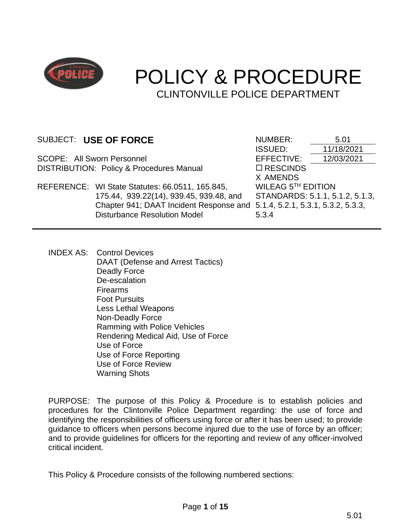

# POLICY & PROCEDURE CLINTONVILLE POLICE DEPARTMENT

SCOPE: All Sworn Personnel **EFFECTIVE:** 12/03/2021 DISTRIBUTION: Policy & Procedures Manual  $\Box$  RESCINDS

REFERENCE: WI State Statutes: 66.0511, 165.845, 175.44, 939.22(14), 939.45, 939.48, and Chapter 941; DAAT Incident Response and 5.1.4, 5.2.1, 5.3.1, 5.3.2, 5.3.3, Disturbance Resolution Model

SUBJECT: USE OF FORCE<br>ISSUED: 11/18/20 ISSUED: 11/18/2021 X AMENDS WILEAG 5 TH EDITION STANDARDS: 5.1.1, 5.1.2, 5.1.3, 5.3.4

INDEX AS: Control Devices DAAT (Defense and Arrest Tactics) Deadly Force De-escalation Firearms Foot Pursuits Less Lethal Weapons Non-Deadly Force Ramming with Police Vehicles Rendering Medical Aid, Use of Force Use of Force Use of Force Reporting Use of Force Review Warning Shots

PURPOSE: The purpose of this Policy & Procedure is to establish policies and procedures for the Clintonville Police Department regarding: the use of force and identifying the responsibilities of officers using force or after it has been used; to provide guidance to officers when persons become injured due to the use of force by an officer; and to provide guidelines for officers for the reporting and review of any officer-involved critical incident.

This Policy & Procedure consists of the following numbered sections: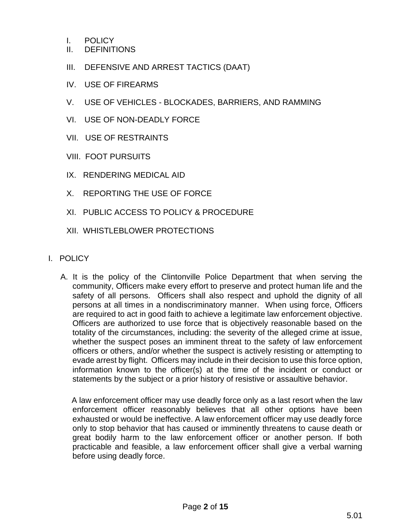- I. POLICY
- II. DEFINITIONS
- III. DEFENSIVE AND ARREST TACTICS (DAAT)
- IV. USE OF FIREARMS
- V. USE OF VEHICLES BLOCKADES, BARRIERS, AND RAMMING
- VI. USE OF NON-DEADLY FORCE
- VII. USE OF RESTRAINTS
- VIII. FOOT PURSUITS
- IX. RENDERING MEDICAL AID
- X. REPORTING THE USE OF FORCE
- XI. PUBLIC ACCESS TO POLICY & PROCEDURE
- XII. WHISTLEBLOWER PROTECTIONS
- I. POLICY
	- A. It is the policy of the Clintonville Police Department that when serving the community, Officers make every effort to preserve and protect human life and the safety of all persons. Officers shall also respect and uphold the dignity of all persons at all times in a nondiscriminatory manner. When using force, Officers are required to act in good faith to achieve a legitimate law enforcement objective. Officers are authorized to use force that is objectively reasonable based on the totality of the circumstances, including: the severity of the alleged crime at issue, whether the suspect poses an imminent threat to the safety of law enforcement officers or others, and/or whether the suspect is actively resisting or attempting to evade arrest by flight. Officers may include in their decision to use this force option, information known to the officer(s) at the time of the incident or conduct or statements by the subject or a prior history of resistive or assaultive behavior.

 A law enforcement officer may use deadly force only as a last resort when the law enforcement officer reasonably believes that all other options have been exhausted or would be ineffective. A law enforcement officer may use deadly force only to stop behavior that has caused or imminently threatens to cause death or great bodily harm to the law enforcement officer or another person. If both practicable and feasible, a law enforcement officer shall give a verbal warning before using deadly force.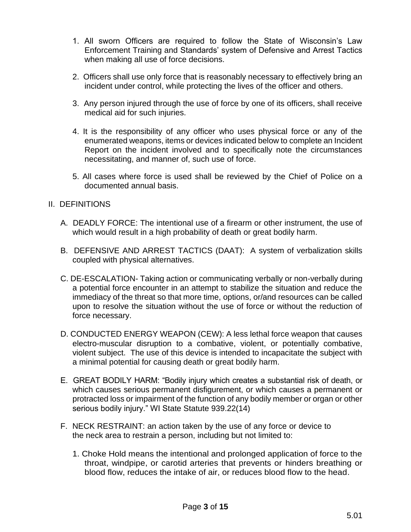- 1. All sworn Officers are required to follow the State of Wisconsin's Law Enforcement Training and Standards' system of Defensive and Arrest Tactics when making all use of force decisions.
- 2. Officers shall use only force that is reasonably necessary to effectively bring an incident under control, while protecting the lives of the officer and others.
- 3. Any person injured through the use of force by one of its officers, shall receive medical aid for such injuries.
- 4. It is the responsibility of any officer who uses physical force or any of the enumerated weapons, items or devices indicated below to complete an Incident Report on the incident involved and to specifically note the circumstances necessitating, and manner of, such use of force.
- 5. All cases where force is used shall be reviewed by the Chief of Police on a documented annual basis.

#### II. DEFINITIONS

- A. DEADLY FORCE: The intentional use of a firearm or other instrument, the use of which would result in a high probability of death or great bodily harm.
- B. DEFENSIVE AND ARREST TACTICS (DAAT): A system of verbalization skills coupled with physical alternatives.
- C. DE-ESCALATION- Taking action or communicating verbally or non-verbally during a potential force encounter in an attempt to stabilize the situation and reduce the immediacy of the threat so that more time, options, or/and resources can be called upon to resolve the situation without the use of force or without the reduction of force necessary.
- D. CONDUCTED ENERGY WEAPON (CEW): A less lethal force weapon that causes electro-muscular disruption to a combative, violent, or potentially combative, violent subject. The use of this device is intended to incapacitate the subject with a minimal potential for causing death or great bodily harm.
- E. GREAT BODILY HARM: "Bodily injury which creates a substantial risk of death, or which causes serious permanent disfigurement, or which causes a permanent or protracted loss or impairment of the function of any bodily member or organ or other serious bodily injury." WI State Statute 939.22(14)
- F. NECK RESTRAINT: an action taken by the use of any force or device to the neck area to restrain a person, including but not limited to:
	- 1. Choke Hold means the intentional and prolonged application of force to the throat, windpipe, or carotid arteries that prevents or hinders breathing or blood flow, reduces the intake of air, or reduces blood flow to the head.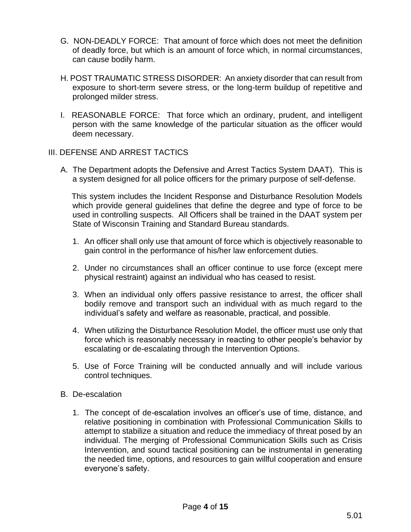- G. NON-DEADLY FORCE: That amount of force which does not meet the definition of deadly force, but which is an amount of force which, in normal circumstances, can cause bodily harm.
- H. POST TRAUMATIC STRESS DISORDER: An anxiety disorder that can result from exposure to short-term severe stress, or the long-term buildup of repetitive and prolonged milder stress.
- I. REASONABLE FORCE: That force which an ordinary, prudent, and intelligent person with the same knowledge of the particular situation as the officer would deem necessary.

#### III. DEFENSE AND ARREST TACTICS

A. The Department adopts the Defensive and Arrest Tactics System DAAT). This is a system designed for all police officers for the primary purpose of self-defense.

 This system includes the Incident Response and Disturbance Resolution Models which provide general guidelines that define the degree and type of force to be used in controlling suspects. All Officers shall be trained in the DAAT system per State of Wisconsin Training and Standard Bureau standards.

- 1. An officer shall only use that amount of force which is objectively reasonable to gain control in the performance of his/her law enforcement duties.
- 2. Under no circumstances shall an officer continue to use force (except mere physical restraint) against an individual who has ceased to resist.
- 3. When an individual only offers passive resistance to arrest, the officer shall bodily remove and transport such an individual with as much regard to the individual's safety and welfare as reasonable, practical, and possible.
- 4. When utilizing the Disturbance Resolution Model, the officer must use only that force which is reasonably necessary in reacting to other people's behavior by escalating or de-escalating through the Intervention Options.
- 5. Use of Force Training will be conducted annually and will include various control techniques.
- B. De-escalation
	- 1. The concept of de-escalation involves an officer's use of time, distance, and relative positioning in combination with Professional Communication Skills to attempt to stabilize a situation and reduce the immediacy of threat posed by an individual. The merging of Professional Communication Skills such as Crisis Intervention, and sound tactical positioning can be instrumental in generating the needed time, options, and resources to gain willful cooperation and ensure everyone's safety.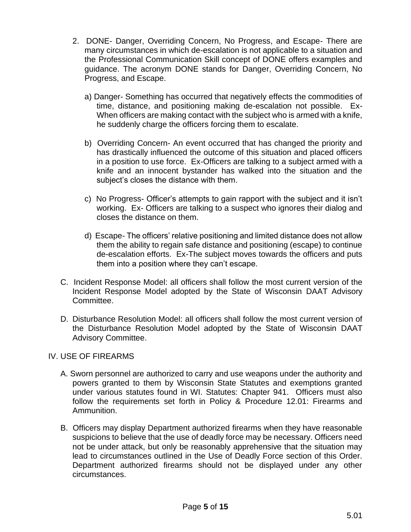- 2. DONE- Danger, Overriding Concern, No Progress, and Escape- There are many circumstances in which de-escalation is not applicable to a situation and the Professional Communication Skill concept of DONE offers examples and guidance. The acronym DONE stands for Danger, Overriding Concern, No Progress, and Escape.
	- a) Danger- Something has occurred that negatively effects the commodities of time, distance, and positioning making de-escalation not possible. Ex-When officers are making contact with the subject who is armed with a knife, he suddenly charge the officers forcing them to escalate.
	- b) Overriding Concern- An event occurred that has changed the priority and has drastically influenced the outcome of this situation and placed officers in a position to use force. Ex-Officers are talking to a subject armed with a knife and an innocent bystander has walked into the situation and the subject's closes the distance with them.
	- c) No Progress- Officer's attempts to gain rapport with the subject and it isn't working. Ex- Officers are talking to a suspect who ignores their dialog and closes the distance on them.
	- d) Escape- The officers' relative positioning and limited distance does not allow them the ability to regain safe distance and positioning (escape) to continue de-escalation efforts. Ex-The subject moves towards the officers and puts them into a position where they can't escape.
- C. Incident Response Model: all officers shall follow the most current version of the Incident Response Model adopted by the State of Wisconsin DAAT Advisory Committee.
- D. Disturbance Resolution Model: all officers shall follow the most current version of the Disturbance Resolution Model adopted by the State of Wisconsin DAAT Advisory Committee.

#### IV. USE OF FIREARMS

- A. Sworn personnel are authorized to carry and use weapons under the authority and powers granted to them by Wisconsin State Statutes and exemptions granted under various statutes found in WI. Statutes: Chapter 941. Officers must also follow the requirements set forth in Policy & Procedure 12.01: Firearms and Ammunition.
- B. Officers may display Department authorized firearms when they have reasonable suspicions to believe that the use of deadly force may be necessary. Officers need not be under attack, but only be reasonably apprehensive that the situation may lead to circumstances outlined in the Use of Deadly Force section of this Order. Department authorized firearms should not be displayed under any other circumstances.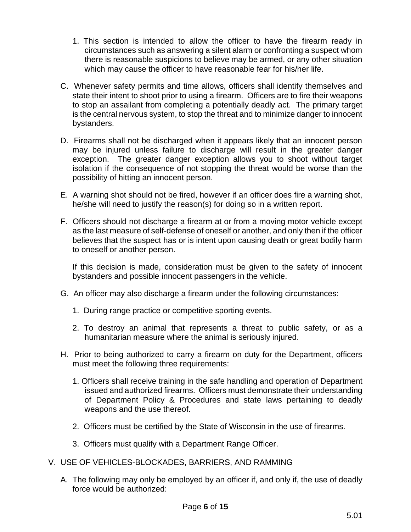- 1. This section is intended to allow the officer to have the firearm ready in circumstances such as answering a silent alarm or confronting a suspect whom there is reasonable suspicions to believe may be armed, or any other situation which may cause the officer to have reasonable fear for his/her life.
- C. Whenever safety permits and time allows, officers shall identify themselves and state their intent to shoot prior to using a firearm. Officers are to fire their weapons to stop an assailant from completing a potentially deadly act. The primary target is the central nervous system, to stop the threat and to minimize danger to innocent bystanders.
- D. Firearms shall not be discharged when it appears likely that an innocent person may be injured unless failure to discharge will result in the greater danger exception. The greater danger exception allows you to shoot without target isolation if the consequence of not stopping the threat would be worse than the possibility of hitting an innocent person.
- E. A warning shot should not be fired, however if an officer does fire a warning shot, he/she will need to justify the reason(s) for doing so in a written report.
- F. Officers should not discharge a firearm at or from a moving motor vehicle except as the last measure of self-defense of oneself or another, and only then if the officer believes that the suspect has or is intent upon causing death or great bodily harm to oneself or another person.

If this decision is made, consideration must be given to the safety of innocent bystanders and possible innocent passengers in the vehicle.

- G. An officer may also discharge a firearm under the following circumstances:
	- 1. During range practice or competitive sporting events.
	- 2. To destroy an animal that represents a threat to public safety, or as a humanitarian measure where the animal is seriously injured.
- H. Prior to being authorized to carry a firearm on duty for the Department, officers must meet the following three requirements:
	- 1. Officers shall receive training in the safe handling and operation of Department issued and authorized firearms. Officers must demonstrate their understanding of Department Policy & Procedures and state laws pertaining to deadly weapons and the use thereof.
	- 2. Officers must be certified by the State of Wisconsin in the use of firearms.
	- 3. Officers must qualify with a Department Range Officer.
- V. USE OF VEHICLES-BLOCKADES, BARRIERS, AND RAMMING
	- A. The following may only be employed by an officer if, and only if, the use of deadly force would be authorized: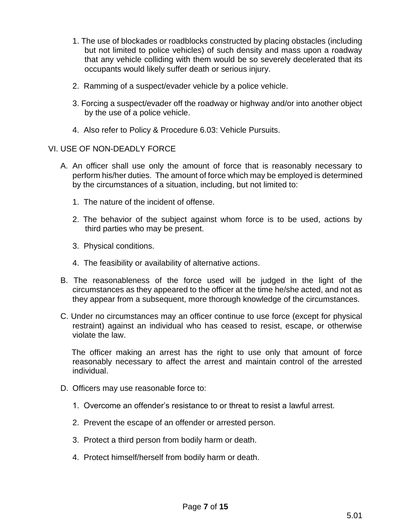- 1. The use of blockades or roadblocks constructed by placing obstacles (including but not limited to police vehicles) of such density and mass upon a roadway that any vehicle colliding with them would be so severely decelerated that its occupants would likely suffer death or serious injury.
- 2. Ramming of a suspect/evader vehicle by a police vehicle.
- 3. Forcing a suspect/evader off the roadway or highway and/or into another object by the use of a police vehicle.
- 4. Also refer to Policy & Procedure 6.03: Vehicle Pursuits.

#### VI. USE OF NON-DEADLY FORCE

- A. An officer shall use only the amount of force that is reasonably necessary to perform his/her duties. The amount of force which may be employed is determined by the circumstances of a situation, including, but not limited to:
	- 1. The nature of the incident of offense.
	- 2. The behavior of the subject against whom force is to be used, actions by third parties who may be present.
	- 3. Physical conditions.
	- 4. The feasibility or availability of alternative actions.
- B. The reasonableness of the force used will be judged in the light of the circumstances as they appeared to the officer at the time he/she acted, and not as they appear from a subsequent, more thorough knowledge of the circumstances.
- C. Under no circumstances may an officer continue to use force (except for physical restraint) against an individual who has ceased to resist, escape, or otherwise violate the law.

 The officer making an arrest has the right to use only that amount of force reasonably necessary to affect the arrest and maintain control of the arrested individual.

- D. Officers may use reasonable force to:
	- 1. Overcome an offender's resistance to or threat to resist a lawful arrest.
	- 2. Prevent the escape of an offender or arrested person.
	- 3. Protect a third person from bodily harm or death.
	- 4. Protect himself/herself from bodily harm or death.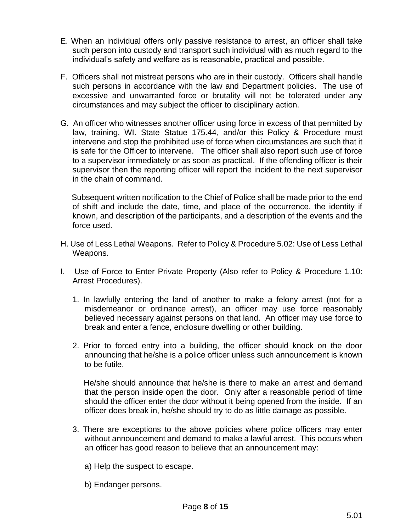- E. When an individual offers only passive resistance to arrest, an officer shall take such person into custody and transport such individual with as much regard to the individual's safety and welfare as is reasonable, practical and possible.
- F. Officers shall not mistreat persons who are in their custody. Officers shall handle such persons in accordance with the law and Department policies. The use of excessive and unwarranted force or brutality will not be tolerated under any circumstances and may subject the officer to disciplinary action.
- G. An officer who witnesses another officer using force in excess of that permitted by law, training, WI. State Statue 175.44, and/or this Policy & Procedure must intervene and stop the prohibited use of force when circumstances are such that it is safe for the Officer to intervene. The officer shall also report such use of force to a supervisor immediately or as soon as practical. If the offending officer is their supervisor then the reporting officer will report the incident to the next supervisor in the chain of command.

 Subsequent written notification to the Chief of Police shall be made prior to the end of shift and include the date, time, and place of the occurrence, the identity if known, and description of the participants, and a description of the events and the force used.

- H. Use of Less Lethal Weapons. Refer to Policy & Procedure 5.02: Use of Less Lethal Weapons.
- I. Use of Force to Enter Private Property (Also refer to Policy & Procedure 1.10: Arrest Procedures).
	- 1. In lawfully entering the land of another to make a felony arrest (not for a misdemeanor or ordinance arrest), an officer may use force reasonably believed necessary against persons on that land. An officer may use force to break and enter a fence, enclosure dwelling or other building.
	- 2. Prior to forced entry into a building, the officer should knock on the door announcing that he/she is a police officer unless such announcement is known to be futile.

 He/she should announce that he/she is there to make an arrest and demand that the person inside open the door. Only after a reasonable period of time should the officer enter the door without it being opened from the inside. If an officer does break in, he/she should try to do as little damage as possible.

- 3. There are exceptions to the above policies where police officers may enter without announcement and demand to make a lawful arrest. This occurs when an officer has good reason to believe that an announcement may:
	- a) Help the suspect to escape.
	- b) Endanger persons.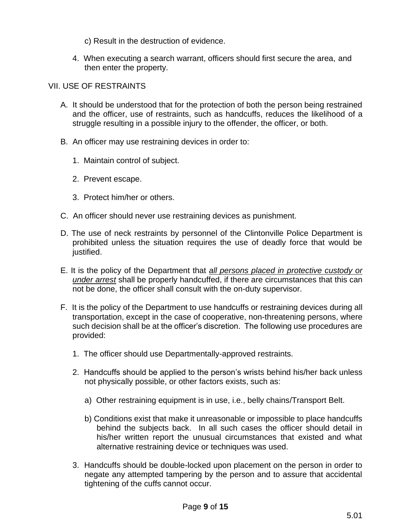c) Result in the destruction of evidence.

4. When executing a search warrant, officers should first secure the area, and then enter the property.

# VII. USE OF RESTRAINTS

- A. It should be understood that for the protection of both the person being restrained and the officer, use of restraints, such as handcuffs, reduces the likelihood of a struggle resulting in a possible injury to the offender, the officer, or both.
- B. An officer may use restraining devices in order to:
	- 1. Maintain control of subject.
	- 2. Prevent escape.
	- 3. Protect him/her or others.
- C. An officer should never use restraining devices as punishment.
- D. The use of neck restraints by personnel of the Clintonville Police Department is prohibited unless the situation requires the use of deadly force that would be justified.
- E. It is the policy of the Department that *all persons placed in protective custody or under arrest* shall be properly handcuffed, if there are circumstances that this can not be done, the officer shall consult with the on-duty supervisor.
- F. It is the policy of the Department to use handcuffs or restraining devices during all transportation, except in the case of cooperative, non-threatening persons, where such decision shall be at the officer's discretion. The following use procedures are provided:
	- 1. The officer should use Departmentally-approved restraints.
	- 2. Handcuffs should be applied to the person's wrists behind his/her back unless not physically possible, or other factors exists, such as:
		- a) Other restraining equipment is in use, i.e., belly chains/Transport Belt.
		- b) Conditions exist that make it unreasonable or impossible to place handcuffs behind the subjects back. In all such cases the officer should detail in his/her written report the unusual circumstances that existed and what alternative restraining device or techniques was used.
	- 3. Handcuffs should be double-locked upon placement on the person in order to negate any attempted tampering by the person and to assure that accidental tightening of the cuffs cannot occur.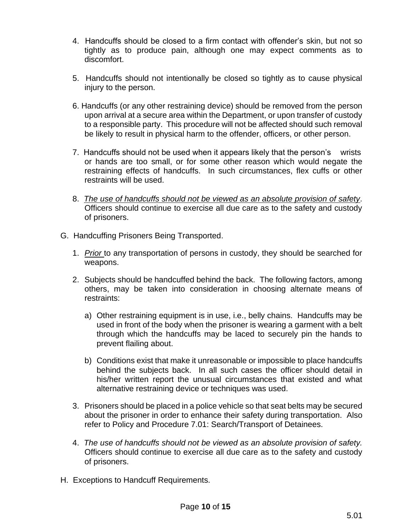- 4. Handcuffs should be closed to a firm contact with offender's skin, but not so tightly as to produce pain, although one may expect comments as to discomfort.
- 5. Handcuffs should not intentionally be closed so tightly as to cause physical injury to the person.
- 6. Handcuffs (or any other restraining device) should be removed from the person upon arrival at a secure area within the Department, or upon transfer of custody to a responsible party. This procedure will not be affected should such removal be likely to result in physical harm to the offender, officers, or other person.
- 7. Handcuffs should not be used when it appears likely that the person's wrists or hands are too small, or for some other reason which would negate the restraining effects of handcuffs. In such circumstances, flex cuffs or other restraints will be used.
- 8. *The use of handcuffs should not be viewed as an absolute provision of safety.* Officers should continue to exercise all due care as to the safety and custody of prisoners.
- G. Handcuffing Prisoners Being Transported.
	- 1. *Prior* to any transportation of persons in custody, they should be searched for weapons.
	- 2. Subjects should be handcuffed behind the back. The following factors, among others, may be taken into consideration in choosing alternate means of restraints:
		- a) Other restraining equipment is in use, i.e., belly chains. Handcuffs may be used in front of the body when the prisoner is wearing a garment with a belt through which the handcuffs may be laced to securely pin the hands to prevent flailing about.
		- b) Conditions exist that make it unreasonable or impossible to place handcuffs behind the subjects back. In all such cases the officer should detail in his/her written report the unusual circumstances that existed and what alternative restraining device or techniques was used.
	- 3. Prisoners should be placed in a police vehicle so that seat belts may be secured about the prisoner in order to enhance their safety during transportation. Also refer to Policy and Procedure 7.01: Search/Transport of Detainees.
	- 4. *The use of handcuffs should not be viewed as an absolute provision of safety.* Officers should continue to exercise all due care as to the safety and custody of prisoners.
- H. Exceptions to Handcuff Requirements.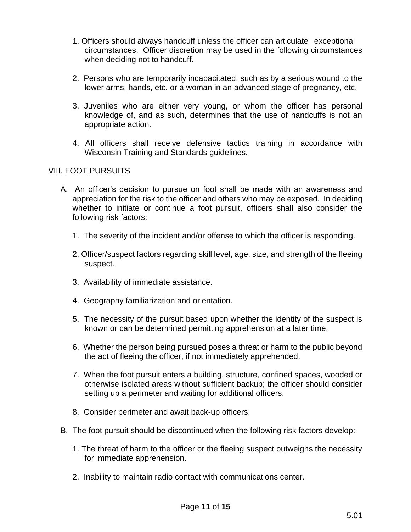- 1. Officers should always handcuff unless the officer can articulate exceptional circumstances. Officer discretion may be used in the following circumstances when deciding not to handcuff.
- 2. Persons who are temporarily incapacitated, such as by a serious wound to the lower arms, hands, etc. or a woman in an advanced stage of pregnancy, etc.
- 3. Juveniles who are either very young, or whom the officer has personal knowledge of, and as such, determines that the use of handcuffs is not an appropriate action.
- 4. All officers shall receive defensive tactics training in accordance with Wisconsin Training and Standards guidelines.

# VIII. FOOT PURSUITS

- A. An officer's decision to pursue on foot shall be made with an awareness and appreciation for the risk to the officer and others who may be exposed. In deciding whether to initiate or continue a foot pursuit, officers shall also consider the following risk factors:
	- 1. The severity of the incident and/or offense to which the officer is responding.
	- 2. Officer/suspect factors regarding skill level, age, size, and strength of the fleeing suspect.
	- 3. Availability of immediate assistance.
	- 4. Geography familiarization and orientation.
	- 5. The necessity of the pursuit based upon whether the identity of the suspect is known or can be determined permitting apprehension at a later time.
	- 6. Whether the person being pursued poses a threat or harm to the public beyond the act of fleeing the officer, if not immediately apprehended.
	- 7. When the foot pursuit enters a building, structure, confined spaces, wooded or otherwise isolated areas without sufficient backup; the officer should consider setting up a perimeter and waiting for additional officers.
	- 8. Consider perimeter and await back-up officers.
- B. The foot pursuit should be discontinued when the following risk factors develop:
	- 1. The threat of harm to the officer or the fleeing suspect outweighs the necessity for immediate apprehension.
	- 2. Inability to maintain radio contact with communications center.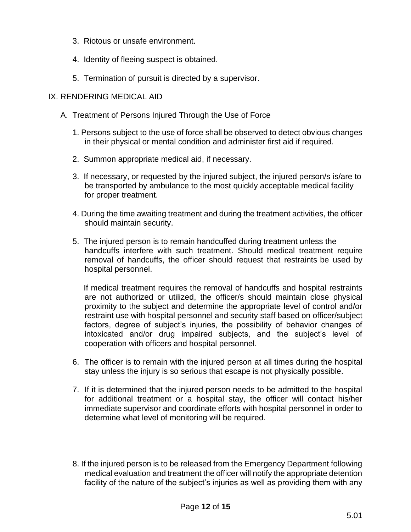- 3. Riotous or unsafe environment.
- 4. Identity of fleeing suspect is obtained.
- 5. Termination of pursuit is directed by a supervisor.

### IX. RENDERING MEDICAL AID

- A. Treatment of Persons Injured Through the Use of Force
	- 1. Persons subject to the use of force shall be observed to detect obvious changes in their physical or mental condition and administer first aid if required.
	- 2. Summon appropriate medical aid, if necessary.
	- 3. If necessary, or requested by the injured subject, the injured person/s is/are to be transported by ambulance to the most quickly acceptable medical facility for proper treatment.
	- 4. During the time awaiting treatment and during the treatment activities, the officer should maintain security.
	- 5. The injured person is to remain handcuffed during treatment unless the handcuffs interfere with such treatment. Should medical treatment require removal of handcuffs, the officer should request that restraints be used by hospital personnel.

 If medical treatment requires the removal of handcuffs and hospital restraints are not authorized or utilized, the officer/s should maintain close physical proximity to the subject and determine the appropriate level of control and/or restraint use with hospital personnel and security staff based on officer/subject factors, degree of subject's injuries, the possibility of behavior changes of intoxicated and/or drug impaired subjects, and the subject's level of cooperation with officers and hospital personnel.

- 6. The officer is to remain with the injured person at all times during the hospital stay unless the injury is so serious that escape is not physically possible.
- 7. If it is determined that the injured person needs to be admitted to the hospital for additional treatment or a hospital stay, the officer will contact his/her immediate supervisor and coordinate efforts with hospital personnel in order to determine what level of monitoring will be required.
- 8. If the injured person is to be released from the Emergency Department following medical evaluation and treatment the officer will notify the appropriate detention facility of the nature of the subject's injuries as well as providing them with any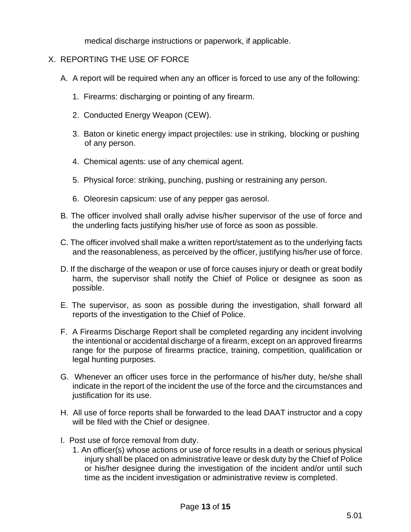medical discharge instructions or paperwork, if applicable.

# X. REPORTING THE USE OF FORCE

- A. A report will be required when any an officer is forced to use any of the following:
	- 1. Firearms: discharging or pointing of any firearm.
	- 2. Conducted Energy Weapon (CEW).
	- 3. Baton or kinetic energy impact projectiles: use in striking, blocking or pushing of any person.
	- 4. Chemical agents: use of any chemical agent.
	- 5. Physical force: striking, punching, pushing or restraining any person.
	- 6. Oleoresin capsicum: use of any pepper gas aerosol.
- B. The officer involved shall orally advise his/her supervisor of the use of force and the underling facts justifying his/her use of force as soon as possible.
- C. The officer involved shall make a written report/statement as to the underlying facts and the reasonableness, as perceived by the officer, justifying his/her use of force.
- D. If the discharge of the weapon or use of force causes injury or death or great bodily harm, the supervisor shall notify the Chief of Police or designee as soon as possible.
- E. The supervisor, as soon as possible during the investigation, shall forward all reports of the investigation to the Chief of Police.
- F. A Firearms Discharge Report shall be completed regarding any incident involving the intentional or accidental discharge of a firearm, except on an approved firearms range for the purpose of firearms practice, training, competition, qualification or legal hunting purposes.
- G. Whenever an officer uses force in the performance of his/her duty, he/she shall indicate in the report of the incident the use of the force and the circumstances and justification for its use.
- H. All use of force reports shall be forwarded to the lead DAAT instructor and a copy will be filed with the Chief or designee.
- I. Post use of force removal from duty.
	- 1. An officer(s) whose actions or use of force results in a death or serious physical injury shall be placed on administrative leave or desk duty by the Chief of Police or his/her designee during the investigation of the incident and/or until such time as the incident investigation or administrative review is completed.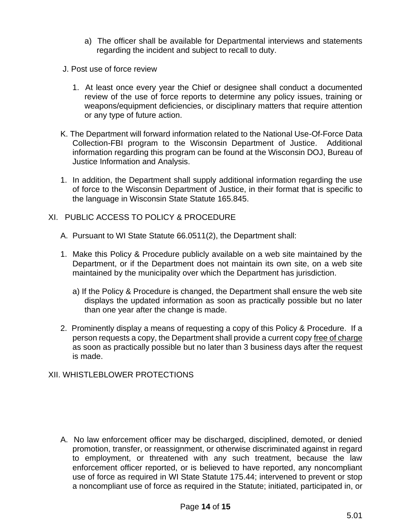- a) The officer shall be available for Departmental interviews and statements regarding the incident and subject to recall to duty.
- J. Post use of force review
	- 1. At least once every year the Chief or designee shall conduct a documented review of the use of force reports to determine any policy issues, training or weapons/equipment deficiencies, or disciplinary matters that require attention or any type of future action.
- K. The Department will forward information related to the National Use-Of-Force Data Collection-FBI program to the Wisconsin Department of Justice. Additional information regarding this program can be found at the Wisconsin DOJ, Bureau of Justice Information and Analysis.
- 1. In addition, the Department shall supply additional information regarding the use of force to the Wisconsin Department of Justice, in their format that is specific to the language in Wisconsin State Statute 165.845.
- XI. PUBLIC ACCESS TO POLICY & PROCEDURE
	- A. Pursuant to WI State Statute 66.0511(2), the Department shall:
	- 1. Make this Policy & Procedure publicly available on a web site maintained by the Department, or if the Department does not maintain its own site, on a web site maintained by the municipality over which the Department has jurisdiction.
		- a) If the Policy & Procedure is changed, the Department shall ensure the web site displays the updated information as soon as practically possible but no later than one year after the change is made.
	- 2. Prominently display a means of requesting a copy of this Policy & Procedure. If a person requests a copy, the Department shall provide a current copy free of charge as soon as practically possible but no later than 3 business days after the request is made.

# XII. WHISTLEBLOWER PROTECTIONS

A. No law enforcement officer may be discharged, disciplined, demoted, or denied promotion, transfer, or reassignment, or otherwise discriminated against in regard to employment, or threatened with any such treatment, because the law enforcement officer reported, or is believed to have reported, any noncompliant use of force as required in WI State Statute 175.44; intervened to prevent or stop a noncompliant use of force as required in the Statute; initiated, participated in, or